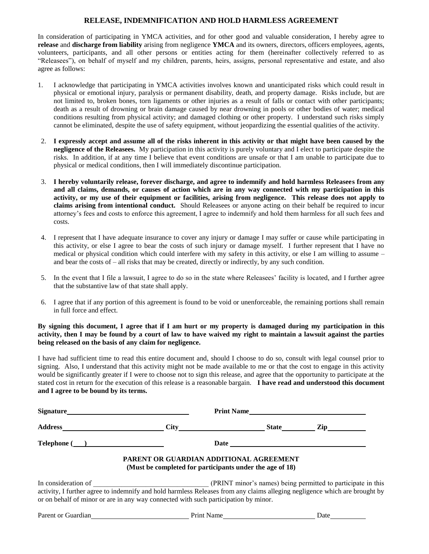## **RELEASE, INDEMNIFICATION AND HOLD HARMLESS AGREEMENT**

In consideration of participating in YMCA activities, and for other good and valuable consideration, I hereby agree to **release** and **discharge from liability** arising from negligence **YMCA** and its owners, directors, officers employees, agents, volunteers, participants, and all other persons or entities acting for them (hereinafter collectively referred to as "Releasees"), on behalf of myself and my children, parents, heirs, assigns, personal representative and estate, and also agree as follows:

- 1. I acknowledge that participating in YMCA activities involves known and unanticipated risks which could result in physical or emotional injury, paralysis or permanent disability, death, and property damage. Risks include, but are not limited to, broken bones, torn ligaments or other injuries as a result of falls or contact with other participants; death as a result of drowning or brain damage caused by near drowning in pools or other bodies of water; medical conditions resulting from physical activity; and damaged clothing or other property. I understand such risks simply cannot be eliminated, despite the use of safety equipment, without jeopardizing the essential qualities of the activity.
- 2. **I expressly accept and assume all of the risks inherent in this activity or that might have been caused by the negligence of the Releasees.** My participation in this activity is purely voluntary and I elect to participate despite the risks. In addition, if at any time I believe that event conditions are unsafe or that I am unable to participate due to physical or medical conditions, then I will immediately discontinue participation.
- 3. **I hereby voluntarily release, forever discharge, and agree to indemnify and hold harmless Releasees from any and all claims, demands, or causes of action which are in any way connected with my participation in this activity, or my use of their equipment or facilities, arising from negligence. This release does not apply to claims arising from intentional conduct.** Should Releasees or anyone acting on their behalf be required to incur attorney's fees and costs to enforce this agreement, I agree to indemnify and hold them harmless for all such fees and costs.
- 4. I represent that I have adequate insurance to cover any injury or damage I may suffer or cause while participating in this activity, or else I agree to bear the costs of such injury or damage myself. I further represent that I have no medical or physical condition which could interfere with my safety in this activity, or else I am willing to assume – and bear the costs of – all risks that may be created, directly or indirectly, by any such condition.
- 5. In the event that I file a lawsuit, I agree to do so in the state where Releasees' facility is located, and I further agree that the substantive law of that state shall apply.
- 6. I agree that if any portion of this agreement is found to be void or unenforceable, the remaining portions shall remain in full force and effect.

**By signing this document, I agree that if I am hurt or my property is damaged during my participation in this activity, then I may be found by a court of law to have waived my right to maintain a lawsuit against the parties being released on the basis of any claim for negligence.**

I have had sufficient time to read this entire document and, should I choose to do so, consult with legal counsel prior to signing. Also, I understand that this activity might not be made available to me or that the cost to engage in this activity would be significantly greater if I were to choose not to sign this release, and agree that the opportunity to participate at the stated cost in return for the execution of this release is a reasonable bargain. **I have read and understood this document and I agree to be bound by its terms.** 

| <b>Signature</b>                                                                                                                                                                                                                         | <b>Print Name</b>                                                                                   |              |                |
|------------------------------------------------------------------------------------------------------------------------------------------------------------------------------------------------------------------------------------------|-----------------------------------------------------------------------------------------------------|--------------|----------------|
| <b>Address</b>                                                                                                                                                                                                                           |                                                                                                     | <b>State</b> | $\mathbf{Zip}$ |
| $\textbf{Telephone} \text{ } (\textcolor{red}{\bullet}\textcolor{red}{\bullet})$                                                                                                                                                         |                                                                                                     |              |                |
|                                                                                                                                                                                                                                          | PARENT OR GUARDIAN ADDITIONAL AGREEMENT<br>(Must be completed for participants under the age of 18) |              |                |
| In consideration of<br>activity, I further agree to indemnify and hold harmless Releases from any claims alleging negligence which are brought by<br>or on behalf of minor or are in any way connected with such participation by minor. | (PRINT minor's names) being permitted to participate in this                                        |              |                |
|                                                                                                                                                                                                                                          |                                                                                                     |              |                |

Parent or Guardian **Prince Contained Print Name** Date Date Date